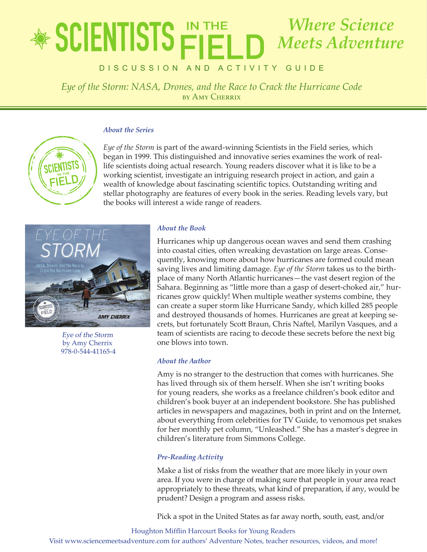# lete in the state of *Eye of the Storm: NASA, Drones, and the Race to Crack the Hurricane Code Where Science Meets Adventure*

**DISCUSSION AND ACTIVITY GUIDE** 

*Eye of the Storm: NASA, Drones, and the Race to Crack the Hurricane Code* by Amy Cherrix

### *About the Series*



*Eye of the Storm* is part of the award-winning Scientists in the Field series, which began in 1999. This distinguished and innovative series examines the work of reallife scientists doing actual research. Young readers discover what it is like to be a working scientist, investigate an intriguing research project in action, and gain a wealth of knowledge about fascinating scientific topics. Outstanding writing and stellar photography are features of every book in the series. Reading levels vary, but the books will interest a wide range of readers.



Eye of the Storm by Amy Cherrix 978-0-544-41165-4

## *About the Book*

Hurricanes whip up dangerous ocean waves and send them crashing into coastal cities, often wreaking devastation on large areas. Consequently, knowing more about how hurricanes are formed could mean saving lives and limiting damage. *Eye of the Storm* takes us to the birthplace of many North Atlantic hurricanes—the vast desert region of the Sahara. Beginning as "little more than a gasp of desert-choked air," hurricanes grow quickly! When multiple weather systems combine, they can create a super storm like Hurricane Sandy, which killed 285 people and destroyed thousands of homes. Hurricanes are great at keeping secrets, but fortunately Scott Braun, Chris Naftel, Marilyn Vasques, and a team of scientists are racing to decode these secrets before the next big one blows into town.

## *About the Author*

Amy is no stranger to the destruction that comes with hurricanes. She has lived through six of them herself. When she isn't writing books for young readers, she works as a freelance children's book editor and children's book buyer at an independent bookstore. She has published articles in newspapers and magazines, both in print and on the Internet, about everything from celebrities for TV Guide, to venomous pet snakes for her monthly pet column, "Unleashed." She has a master's degree in children's literature from Simmons College.

## *Pre-Reading Activity*

Make a list of risks from the weather that are more likely in your own area. If you were in charge of making sure that people in your area react appropriately to these threats, what kind of preparation, if any, would be prudent? Design a program and assess risks.

Pick a spot in the United States as far away north, south, east, and/or

Houghton Mifflin Harcourt Books for Young Readers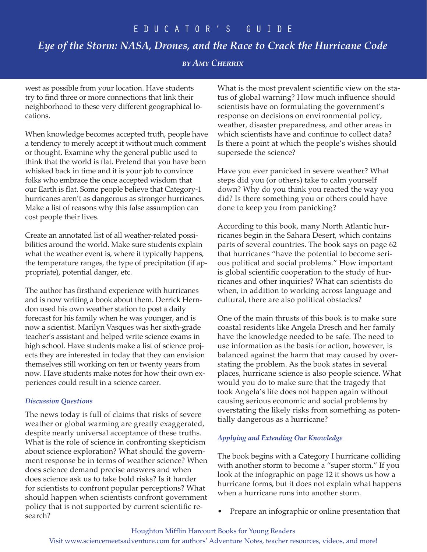# *Eye of the Storm: NASA, Drones, and the Race to Crack the Hurricane Code*

# *by Amy Cherrix*

west as possible from your location. Have students try to find three or more connections that link their neighborhood to these very different geographical locations.

When knowledge becomes accepted truth, people have a tendency to merely accept it without much comment or thought. Examine why the general public used to think that the world is flat. Pretend that you have been whisked back in time and it is your job to convince folks who embrace the once accepted wisdom that our Earth is flat. Some people believe that Category-1 hurricanes aren't as dangerous as stronger hurricanes. Make a list of reasons why this false assumption can cost people their lives.

Create an annotated list of all weather-related possibilities around the world. Make sure students explain what the weather event is, where it typically happens, the temperature ranges, the type of precipitation (if appropriate), potential danger, etc.

The author has firsthand experience with hurricanes and is now writing a book about them. Derrick Herndon used his own weather station to post a daily forecast for his family when he was younger, and is now a scientist. Marilyn Vasques was her sixth-grade teacher's assistant and helped write science exams in high school. Have students make a list of science projects they are interested in today that they can envision themselves still working on ten or twenty years from now. Have students make notes for how their own experiences could result in a science career.

## *Discussion Questions*

The news today is full of claims that risks of severe weather or global warming are greatly exaggerated, despite nearly universal acceptance of these truths. What is the role of science in confronting skepticism about science exploration? What should the government response be in terms of weather science? When does science demand precise answers and when does science ask us to take bold risks? Is it harder for scientists to confront popular perceptions? What should happen when scientists confront government policy that is not supported by current scientific research?

What is the most prevalent scientific view on the status of global warning? How much influence should scientists have on formulating the government's response on decisions on environmental policy, weather, disaster preparedness, and other areas in which scientists have and continue to collect data? Is there a point at which the people's wishes should supersede the science?

Have you ever panicked in severe weather? What steps did you (or others) take to calm yourself down? Why do you think you reacted the way you did? Is there something you or others could have done to keep you from panicking?

According to this book, many North Atlantic hurricanes begin in the Sahara Desert, which contains parts of several countries. The book says on page 62 that hurricanes "have the potential to become serious political and social problems." How important is global scientific cooperation to the study of hurricanes and other inquiries? What can scientists do when, in addition to working across language and cultural, there are also political obstacles?

One of the main thrusts of this book is to make sure coastal residents like Angela Dresch and her family have the knowledge needed to be safe. The need to use information as the basis for action, however, is balanced against the harm that may caused by overstating the problem. As the book states in several places, hurricane science is also people science. What would you do to make sure that the tragedy that took Angela's life does not happen again without causing serious economic and social problems by overstating the likely risks from something as potentially dangerous as a hurricane?

## *Applying and Extending Our Knowledge*

The book begins with a Category I hurricane colliding with another storm to become a "super storm." If you look at the infographic on page 12 it shows us how a hurricane forms, but it does not explain what happens when a hurricane runs into another storm.

• Prepare an infographic or online presentation that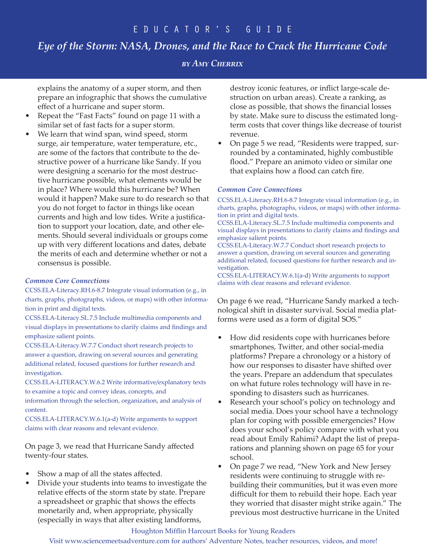# *Eye of the Storm: NASA, Drones, and the Race to Crack the Hurricane Code*

# *by Amy Cherrix*

explains the anatomy of a super storm, and then prepare an infographic that shows the cumulative effect of a hurricane and super storm.

- Repeat the "Fast Facts" found on page 11 with a similar set of fast facts for a super storm.
- We learn that wind span, wind speed, storm surge, air temperature, water temperature, etc., are some of the factors that contribute to the destructive power of a hurricane like Sandy. If you were designing a scenario for the most destructive hurricane possible, what elements would be in place? Where would this hurricane be? When would it happen? Make sure to do research so that you do not forget to factor in things like ocean currents and high and low tides. Write a justification to support your location, date, and other elements. Should several individuals or groups come up with very different locations and dates, debate the merits of each and determine whether or not a consensus is possible.

#### *Common Core Connections*

CCSS.ELA-Literacy.RH.6-8.7 Integrate visual information (e.g., in charts, graphs, photographs, videos, or maps) with other information in print and digital texts.

CCSS.ELA-Literacy.SL.7.5 Include multimedia components and visual displays in presentations to clarify claims and findings and emphasize salient points.

CCSS.ELA-Literacy.W.7.7 Conduct short research projects to answer a question, drawing on several sources and generating additional related, focused questions for further research and investigation.

CCSS.ELA-LITERACY.W.6.2 Write informative/explanatory texts to examine a topic and convey ideas, concepts, and

information through the selection, organization, and analysis of content.

CCSS.ELA-LITERACY.W.6.1(a-d) Write arguments to support claims with clear reasons and relevant evidence.

On page 3, we read that Hurricane Sandy affected twenty-four states.

- Show a map of all the states affected.
- Divide your students into teams to investigate the relative effects of the storm state by state. Prepare a spreadsheet or graphic that shows the effects monetarily and, when appropriate, physically (especially in ways that alter existing landforms,

destroy iconic features, or inflict large-scale destruction on urban areas). Create a ranking, as close as possible, that shows the financial losses by state. Make sure to discuss the estimated longterm costs that cover things like decrease of tourist revenue.

• On page 5 we read, "Residents were trapped, surrounded by a contaminated, highly combustible flood." Prepare an animoto video or similar one that explains how a flood can catch fire.

#### *Common Core Connections*

CCSS.ELA-Literacy.RH.6-8.7 Integrate visual information (e.g., in charts, graphs, photographs, videos, or maps) with other information in print and digital texts.

CCSS.ELA-Literacy.SL.7.5 Include multimedia components and visual displays in presentations to clarify claims and findings and emphasize salient points.

CCSS.ELA-Literacy.W.7.7 Conduct short research projects to answer a question, drawing on several sources and generating additional related, focused questions for further research and investigation.

CCSS.ELA-LITERACY.W.6.1(a-d) Write arguments to support claims with clear reasons and relevant evidence.

On page 6 we read, "Hurricane Sandy marked a technological shift in disaster survival. Social media platforms were used as a form of digital SOS."

- How did residents cope with hurricanes before smartphones, Twitter, and other social-media platforms? Prepare a chronology or a history of how our responses to disaster have shifted over the years. Prepare an addendum that speculates on what future roles technology will have in responding to disasters such as hurricanes.
- Research your school's policy on technology and social media. Does your school have a technology plan for coping with possible emergencies? How does your school's policy compare with what you read about Emily Rahimi? Adapt the list of preparations and planning shown on page 65 for your school.
- On page 7 we read, "New York and New Jersey residents were continuing to struggle with rebuilding their communities, but it was even more difficult for them to rebuild their hope. Each year they worried that disaster might strike again." The previous most destructive hurricane in the United

#### Houghton Mifflin Harcourt Books for Young Readers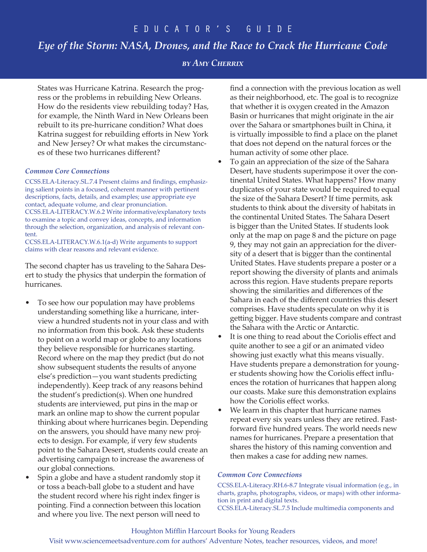# *Eye of the Storm: NASA, Drones, and the Race to Crack the Hurricane Code*

## *by Amy Cherrix*

States was Hurricane Katrina. Research the progress or the problems in rebuilding New Orleans. How do the residents view rebuilding today? Has, for example, the Ninth Ward in New Orleans been rebuilt to its pre-hurricane condition? What does Katrina suggest for rebuilding efforts in New York and New Jersey? Or what makes the circumstances of these two hurricanes different?

#### *Common Core Connections*

CCSS.ELA-Literacy.SL.7.4 Present claims and findings, emphasizing salient points in a focused, coherent manner with pertinent descriptions, facts, details, and examples; use appropriate eye contact, adequate volume, and clear pronunciation. CCSS.ELA-LITERACY.W.6.2 Write informative/explanatory texts to examine a topic and convey ideas, concepts, and information through the selection, organization, and analysis of relevant content.

CCSS.ELA-LITERACY.W.6.1(a-d) Write arguments to support claims with clear reasons and relevant evidence.

The second chapter has us traveling to the Sahara Desert to study the physics that underpin the formation of hurricanes.

- To see how our population may have problems understanding something like a hurricane, interview a hundred students not in your class and with no information from this book. Ask these students to point on a world map or globe to any locations they believe responsible for hurricanes starting. Record where on the map they predict (but do not show subsequent students the results of anyone else's prediction—you want students predicting independently). Keep track of any reasons behind the student's prediction(s). When one hundred students are interviewed, put pins in the map or mark an online map to show the current popular thinking about where hurricanes begin. Depending on the answers, you should have many new projects to design. For example, if very few students point to the Sahara Desert, students could create an advertising campaign to increase the awareness of our global connections.
- Spin a globe and have a student randomly stop it or toss a beach-ball globe to a student and have the student record where his right index finger is pointing. Find a connection between this location and where you live. The next person will need to

find a connection with the previous location as well as their neighborhood, etc. The goal is to recognize that whether it is oxygen created in the Amazon Basin or hurricanes that might originate in the air over the Sahara or smartphones built in China, it is virtually impossible to find a place on the planet that does not depend on the natural forces or the human activity of some other place.

- To gain an appreciation of the size of the Sahara Desert, have students superimpose it over the continental United States. What happens? How many duplicates of your state would be required to equal the size of the Sahara Desert? If time permits, ask students to think about the diversity of habitats in the continental United States. The Sahara Desert is bigger than the United States. If students look only at the map on page 8 and the picture on page 9, they may not gain an appreciation for the diversity of a desert that is bigger than the continental United States. Have students prepare a poster or a report showing the diversity of plants and animals across this region. Have students prepare reports showing the similarities and differences of the Sahara in each of the different countries this desert comprises. Have students speculate on why it is getting bigger. Have students compare and contrast the Sahara with the Arctic or Antarctic.
- It is one thing to read about the Coriolis effect and quite another to see a gif or an animated video showing just exactly what this means visually. Have students prepare a demonstration for younger students showing how the Coriolis effect influences the rotation of hurricanes that happen along our coasts. Make sure this demonstration explains how the Coriolis effect works.
- We learn in this chapter that hurricane names repeat every six years unless they are retired. Fastforward five hundred years. The world needs new names for hurricanes. Prepare a presentation that shares the history of this naming convention and then makes a case for adding new names.

#### *Common Core Connections*

CCSS.ELA-Literacy.RH.6-8.7 Integrate visual information (e.g., in charts, graphs, photographs, videos, or maps) with other information in print and digital texts. CCSS.ELA-Literacy.SL.7.5 Include multimedia components and

#### Houghton Mifflin Harcourt Books for Young Readers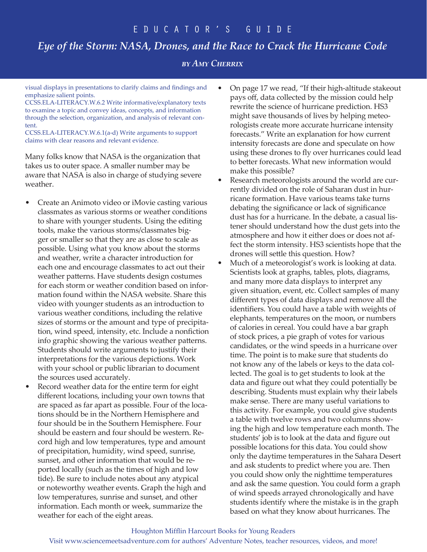# *Eye of the Storm: NASA, Drones, and the Race to Crack the Hurricane Code*

*by Amy Cherrix*

visual displays in presentations to clarify claims and findings and emphasize salient points.

CCSS.ELA-LITERACY.W.6.2 Write informative/explanatory texts to examine a topic and convey ideas, concepts, and information through the selection, organization, and analysis of relevant content.

CCSS.ELA-LITERACY.W.6.1(a-d) Write arguments to support claims with clear reasons and relevant evidence.

Many folks know that NASA is the organization that takes us to outer space. A smaller number may be aware that NASA is also in charge of studying severe weather.

- Create an Animoto video or iMovie casting various classmates as various storms or weather conditions to share with younger students. Using the editing tools, make the various storms/classmates bigger or smaller so that they are as close to scale as possible. Using what you know about the storms and weather, write a character introduction for each one and encourage classmates to act out their weather patterns. Have students design costumes for each storm or weather condition based on information found within the NASA website. Share this video with younger students as an introduction to various weather conditions, including the relative sizes of storms or the amount and type of precipitation, wind speed, intensity, etc. Include a nonfiction info graphic showing the various weather patterns. Students should write arguments to justify their interpretations for the various depictions. Work with your school or public librarian to document the sources used accurately.
- Record weather data for the entire term for eight different locations, including your own towns that are spaced as far apart as possible. Four of the locations should be in the Northern Hemisphere and four should be in the Southern Hemisphere. Four should be eastern and four should be western. Record high and low temperatures, type and amount of precipitation, humidity, wind speed, sunrise, sunset, and other information that would be reported locally (such as the times of high and low tide). Be sure to include notes about any atypical or noteworthy weather events. Graph the high and low temperatures, sunrise and sunset, and other information. Each month or week, summarize the weather for each of the eight areas.
- On page 17 we read, "If their high-altitude stakeout pays off, data collected by the mission could help rewrite the science of hurricane prediction. HS3 might save thousands of lives by helping meteorologists create more accurate hurricane intensity forecasts." Write an explanation for how current intensity forecasts are done and speculate on how using these drones to fly over hurricanes could lead to better forecasts. What new information would make this possible?
- Research meteorologists around the world are currently divided on the role of Saharan dust in hurricane formation. Have various teams take turns debating the significance or lack of significance dust has for a hurricane. In the debate, a casual listener should understand how the dust gets into the atmosphere and how it either does or does not affect the storm intensity. HS3 scientists hope that the drones will settle this question. How?
- Much of a meteorologist's work is looking at data. Scientists look at graphs, tables, plots, diagrams, and many more data displays to interpret any given situation, event, etc. Collect samples of many different types of data displays and remove all the identifiers. You could have a table with weights of elephants, temperatures on the moon, or numbers of calories in cereal. You could have a bar graph of stock prices, a pie graph of votes for various candidates, or the wind speeds in a hurricane over time. The point is to make sure that students do not know any of the labels or keys to the data collected. The goal is to get students to look at the data and figure out what they could potentially be describing. Students must explain why their labels make sense. There are many useful variations to this activity. For example, you could give students a table with twelve rows and two columns showing the high and low temperature each month. The students' job is to look at the data and figure out possible locations for this data. You could show only the daytime temperatures in the Sahara Desert and ask students to predict where you are. Then you could show only the nighttime temperatures and ask the same question. You could form a graph of wind speeds arrayed chronologically and have students identify where the mistake is in the graph based on what they know about hurricanes. The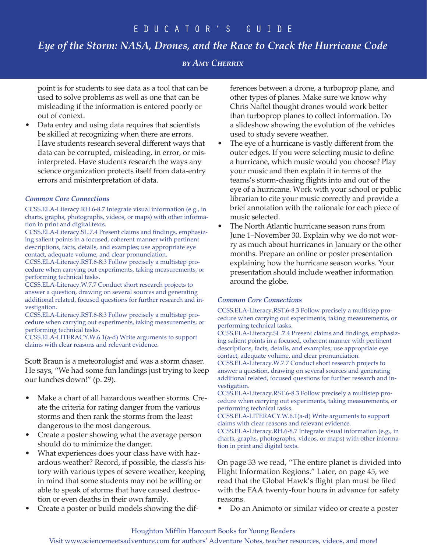# *Eye of the Storm: NASA, Drones, and the Race to Crack the Hurricane Code*

# *by Amy Cherrix*

point is for students to see data as a tool that can be used to solve problems as well as one that can be misleading if the information is entered poorly or out of context.

• Data entry and using data requires that scientists be skilled at recognizing when there are errors. Have students research several different ways that data can be corrupted, misleading, in error, or misinterpreted. Have students research the ways any science organization protects itself from data-entry errors and misinterpretation of data.

#### *Common Core Connections*

CCSS.ELA-Literacy.RH.6-8.7 Integrate visual information (e.g., in charts, graphs, photographs, videos, or maps) with other information in print and digital texts.

CCSS.ELA-Literacy.SL.7.4 Present claims and findings, emphasizing salient points in a focused, coherent manner with pertinent descriptions, facts, details, and examples; use appropriate eye contact, adequate volume, and clear pronunciation.

CCSS.ELA-Literacy.RST.6-8.3 Follow precisely a multistep procedure when carrying out experiments, taking measurements, or performing technical tasks.

CCSS.ELA-Literacy.W.7.7 Conduct short research projects to answer a question, drawing on several sources and generating additional related, focused questions for further research and investigation.

CCSS.ELA-Literacy.RST.6-8.3 Follow precisely a multistep procedure when carrying out experiments, taking measurements, or performing technical tasks.

CCSS.ELA-LITERACY.W.6.1(a-d) Write arguments to support claims with clear reasons and relevant evidence.

Scott Braun is a meteorologist and was a storm chaser. He says, "We had some fun landings just trying to keep our lunches down!" (p. 29).

- Make a chart of all hazardous weather storms. Create the criteria for rating danger from the various storms and then rank the storms from the least dangerous to the most dangerous.
- Create a poster showing what the average person should do to minimize the danger.
- What experiences does your class have with hazardous weather? Record, if possible, the class's history with various types of severe weather, keeping in mind that some students may not be willing or able to speak of storms that have caused destruction or even deaths in their own family.
- Create a poster or build models showing the dif-

ferences between a drone, a turboprop plane, and other types of planes. Make sure we know why Chris Naftel thought drones would work better than turboprop planes to collect information. Do a slideshow showing the evolution of the vehicles used to study severe weather.

- The eye of a hurricane is vastly different from the outer edges. If you were selecting music to define a hurricane, which music would you choose? Play your music and then explain it in terms of the teams's storm-chasing flights into and out of the eye of a hurricane. Work with your school or public librarian to cite your music correctly and provide a brief annotation with the rationale for each piece of music selected.
- The North Atlantic hurricane season runs from June 1–November 30. Explain why we do not worry as much about hurricanes in January or the other months. Prepare an online or poster presentation explaining how the hurricane season works. Your presentation should include weather information around the globe.

#### *Common Core Connections*

CCSS.ELA-Literacy.RST.6-8.3 Follow precisely a multistep procedure when carrying out experiments, taking measurements, or performing technical tasks.

CCSS.ELA-Literacy.SL.7.4 Present claims and findings, emphasizing salient points in a focused, coherent manner with pertinent descriptions, facts, details, and examples; use appropriate eye contact, adequate volume, and clear pronunciation.

CCSS.ELA-Literacy.W.7.7 Conduct short research projects to answer a question, drawing on several sources and generating additional related, focused questions for further research and investigation.

CCSS.ELA-Literacy.RST.6-8.3 Follow precisely a multistep procedure when carrying out experiments, taking measurements, or performing technical tasks.

CCSS.ELA-LITERACY.W.6.1(a-d) Write arguments to support claims with clear reasons and relevant evidence.

CCSS.ELA-Literacy.RH.6-8.7 Integrate visual information (e.g., in charts, graphs, photographs, videos, or maps) with other information in print and digital texts.

On page 33 we read, "The entire planet is divided into Flight Information Regions." Later, on page 45, we read that the Global Hawk's flight plan must be filed with the FAA twenty-four hours in advance for safety reasons.

• Do an Animoto or similar video or create a poster

#### Houghton Mifflin Harcourt Books for Young Readers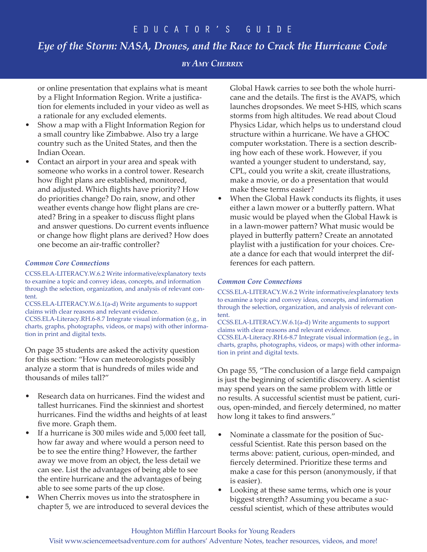# *Eye of the Storm: NASA, Drones, and the Race to Crack the Hurricane Code*

# *by Amy Cherrix*

or online presentation that explains what is meant by a Flight Information Region. Write a justification for elements included in your video as well as a rationale for any excluded elements.

- Show a map with a Flight Information Region for a small country like Zimbabwe. Also try a large country such as the United States, and then the Indian Ocean.
- Contact an airport in your area and speak with someone who works in a control tower. Research how flight plans are established, monitored, and adjusted. Which flights have priority? How do priorities change? Do rain, snow, and other weather events change how flight plans are created? Bring in a speaker to discuss flight plans and answer questions. Do current events influence or change how flight plans are derived? How does one become an air-traffic controller?

#### *Common Core Connections*

CCSS.ELA-LITERACY.W.6.2 Write informative/explanatory texts to examine a topic and convey ideas, concepts, and information through the selection, organization, and analysis of relevant content.

CCSS.ELA-LITERACY.W.6.1(a-d) Write arguments to support claims with clear reasons and relevant evidence. CCSS.ELA-Literacy.RH.6-8.7 Integrate visual information (e.g., in charts, graphs, photographs, videos, or maps) with other information in print and digital texts.

On page 35 students are asked the activity question for this section: "How can meteorologists possibly analyze a storm that is hundreds of miles wide and thousands of miles tall?"

- Research data on hurricanes. Find the widest and tallest hurricanes. Find the skinniest and shortest hurricanes. Find the widths and heights of at least five more. Graph them.
- If a hurricane is 300 miles wide and 5,000 feet tall, how far away and where would a person need to be to see the entire thing? However, the farther away we move from an object, the less detail we can see. List the advantages of being able to see the entire hurricane and the advantages of being able to see some parts of the up close.
- When Cherrix moves us into the stratosphere in chapter 5, we are introduced to several devices the

Global Hawk carries to see both the whole hurricane and the details. The first is the AVAPS, which launches dropsondes. We meet S-HIS, which scans storms from high altitudes. We read about Cloud Physics Lidar, which helps us to understand cloud structure within a hurricane. We have a GHOC computer workstation. There is a section describing how each of these work. However, if you wanted a younger student to understand, say, CPL, could you write a skit, create illustrations, make a movie, or do a presentation that would make these terms easier?

When the Global Hawk conducts its flights, it uses either a lawn mower or a butterfly pattern. What music would be played when the Global Hawk is in a lawn-mower pattern? What music would be played in butterfly pattern? Create an annotated playlist with a justification for your choices. Create a dance for each that would interpret the differences for each pattern.

## *Common Core Connections*

CCSS.ELA-LITERACY.W.6.2 Write informative/explanatory texts to examine a topic and convey ideas, concepts, and information through the selection, organization, and analysis of relevant content.

CCSS.ELA-LITERACY.W.6.1(a-d) Write arguments to support claims with clear reasons and relevant evidence. CCSS.ELA-Literacy.RH.6-8.7 Integrate visual information (e.g., in charts, graphs, photographs, videos, or maps) with other information in print and digital texts.

On page 55, "The conclusion of a large field campaign is just the beginning of scientific discovery. A scientist may spend years on the same problem with little or no results. A successful scientist must be patient, curious, open-minded, and fiercely determined, no matter how long it takes to find answers."

- Nominate a classmate for the position of Successful Scientist. Rate this person based on the terms above: patient, curious, open-minded, and fiercely determined. Prioritize these terms and make a case for this person (anonymously, if that is easier).
- Looking at these same terms, which one is your biggest strength? Assuming you became a successful scientist, which of these attributes would